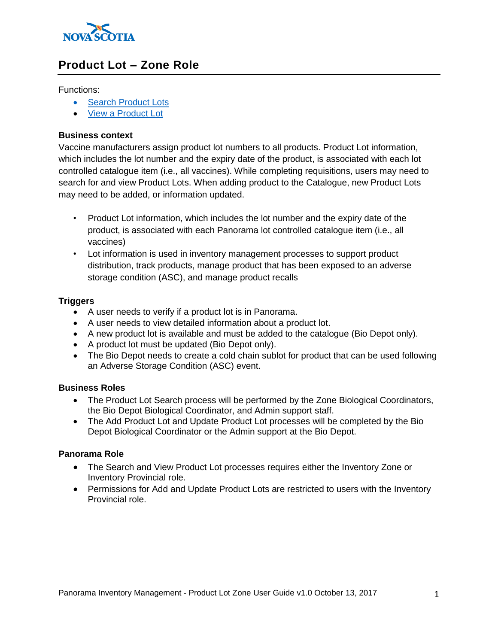

# **Product Lot – Zone Role**

Functions:

- Search [Product Lots](#page-1-0)
- [View a Product Lot](#page-4-0)

### **Business context**

Vaccine manufacturers assign product lot numbers to all products. Product Lot information, which includes the lot number and the expiry date of the product, is associated with each lot controlled catalogue item (i.e., all vaccines). While completing requisitions, users may need to search for and view Product Lots. When adding product to the Catalogue, new Product Lots may need to be added, or information updated.

- Product Lot information, which includes the lot number and the expiry date of the product, is associated with each Panorama lot controlled catalogue item (i.e., all vaccines)
- Lot information is used in inventory management processes to support product distribution, track products, manage product that has been exposed to an adverse storage condition (ASC), and manage product recalls

### **Triggers**

- A user needs to verify if a product lot is in Panorama.
- A user needs to view detailed information about a product lot.
- A new product lot is available and must be added to the catalogue (Bio Depot only).
- A product lot must be updated (Bio Depot only).
- The Bio Depot needs to create a cold chain sublot for product that can be used following an Adverse Storage Condition (ASC) event.

#### **Business Roles**

- The Product Lot Search process will be performed by the Zone Biological Coordinators, the Bio Depot Biological Coordinator, and Admin support staff.
- The Add Product Lot and Update Product Lot processes will be completed by the Bio Depot Biological Coordinator or the Admin support at the Bio Depot.

#### **Panorama Role**

- The Search and View Product Lot processes requires either the Inventory Zone or Inventory Provincial role.
- Permissions for Add and Update Product Lots are restricted to users with the Inventory Provincial role.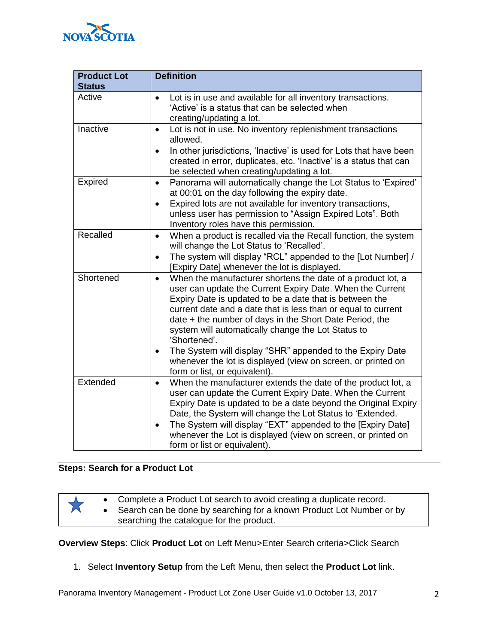

| <b>Product Lot</b> | <b>Definition</b>                                                                                                        |  |  |  |  |
|--------------------|--------------------------------------------------------------------------------------------------------------------------|--|--|--|--|
| <b>Status</b>      |                                                                                                                          |  |  |  |  |
| Active             | Lot is in use and available for all inventory transactions.<br>$\bullet$                                                 |  |  |  |  |
|                    | 'Active' is a status that can be selected when                                                                           |  |  |  |  |
| Inactive           | creating/updating a lot.<br>Lot is not in use. No inventory replenishment transactions<br>$\bullet$                      |  |  |  |  |
|                    | allowed.                                                                                                                 |  |  |  |  |
|                    | In other jurisdictions, 'Inactive' is used for Lots that have been<br>$\bullet$                                          |  |  |  |  |
|                    | created in error, duplicates, etc. 'Inactive' is a status that can                                                       |  |  |  |  |
|                    | be selected when creating/updating a lot.                                                                                |  |  |  |  |
| <b>Expired</b>     | Panorama will automatically change the Lot Status to 'Expired'<br>$\bullet$                                              |  |  |  |  |
|                    | at 00:01 on the day following the expiry date.                                                                           |  |  |  |  |
|                    | Expired lots are not available for inventory transactions,<br>$\bullet$                                                  |  |  |  |  |
|                    | unless user has permission to "Assign Expired Lots". Both                                                                |  |  |  |  |
|                    | Inventory roles have this permission.                                                                                    |  |  |  |  |
| Recalled           | When a product is recalled via the Recall function, the system<br>$\bullet$<br>will change the Lot Status to 'Recalled'. |  |  |  |  |
|                    | The system will display "RCL" appended to the [Lot Number] /<br>$\bullet$                                                |  |  |  |  |
|                    | [Expiry Date] whenever the lot is displayed.                                                                             |  |  |  |  |
| Shortened          | When the manufacturer shortens the date of a product lot, a<br>$\bullet$                                                 |  |  |  |  |
|                    | user can update the Current Expiry Date. When the Current                                                                |  |  |  |  |
|                    | Expiry Date is updated to be a date that is between the                                                                  |  |  |  |  |
|                    | current date and a date that is less than or equal to current                                                            |  |  |  |  |
|                    | date + the number of days in the Short Date Period, the                                                                  |  |  |  |  |
|                    | system will automatically change the Lot Status to<br>'Shortened'.                                                       |  |  |  |  |
|                    | The System will display "SHR" appended to the Expiry Date                                                                |  |  |  |  |
|                    | whenever the lot is displayed (view on screen, or printed on                                                             |  |  |  |  |
|                    | form or list, or equivalent).                                                                                            |  |  |  |  |
| Extended           | When the manufacturer extends the date of the product lot, a<br>$\bullet$                                                |  |  |  |  |
|                    | user can update the Current Expiry Date. When the Current                                                                |  |  |  |  |
|                    | Expiry Date is updated to be a date beyond the Original Expiry                                                           |  |  |  |  |
|                    | Date, the System will change the Lot Status to 'Extended.                                                                |  |  |  |  |
|                    | The System will display "EXT" appended to the [Expiry Date]<br>$\bullet$                                                 |  |  |  |  |
|                    | whenever the Lot is displayed (view on screen, or printed on                                                             |  |  |  |  |
|                    | form or list or equivalent).                                                                                             |  |  |  |  |

## <span id="page-1-0"></span>**Steps: Search for a Product Lot**

|  | Complete a Product Lot search to avoid creating a duplicate record.  |
|--|----------------------------------------------------------------------|
|  | Search can be done by searching for a known Product Lot Number or by |
|  | searching the catalogue for the product.                             |

# **Overview Steps**: Click **Product Lot** on Left Menu>Enter Search criteria>Click Search

1. Select **Inventory Setup** from the Left Menu, then select the **Product Lot** link.

Panorama Inventory Management - Product Lot Zone User Guide v1.0 October 13, 2017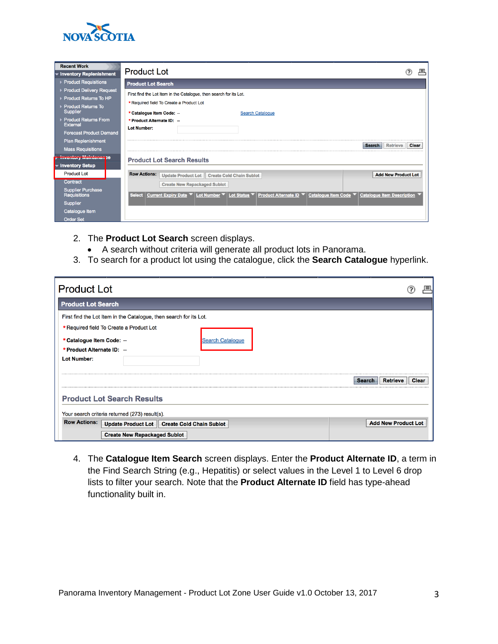

| <b>Recent Work</b><br>- Inventory Replenishment                                                                                                                                              | <b>Product Lot</b><br>戶<br>(?)                                                                                                                                                                                                   |
|----------------------------------------------------------------------------------------------------------------------------------------------------------------------------------------------|----------------------------------------------------------------------------------------------------------------------------------------------------------------------------------------------------------------------------------|
| <b>Product Requisitions</b>                                                                                                                                                                  | <b>Product Lot Search</b>                                                                                                                                                                                                        |
| <b>Product Delivery Request</b><br><b>Product Returns To HP</b><br><b>Product Returns To</b><br><b>Supplier</b><br><b>Product Returns From</b><br>External<br><b>Forecast Product Demand</b> | First find the Lot Item in the Catalogue, then search for its Lot.<br>* Required field To Create a Product Lot<br>* Catalogue Item Code: -<br><b>Search Catalogue</b><br>* Product Alternate ID: --<br><b>Lot Number:</b>        |
| <b>Plan Replenishment</b><br><b>Mass Requisitions</b><br>anakama hilada ƙwallon ƙ<br><b>INTERNATIONAL PRODUCTION OF SERVICE</b><br><b><i>F</i></b> Inventory Setup                           | Clear<br><b>Retrieve</b><br><b>Search</b><br><b>Product Lot Search Results</b>                                                                                                                                                   |
| <b>Product Lot</b>                                                                                                                                                                           | <b>Row Actions:</b><br><b>Add New Product Lot</b><br>Update Product Lot   Create Cold Chain Sublot                                                                                                                               |
| <b>Contract</b><br><b>Supplier Purchase</b><br><b>Requisitions</b><br><b>Supplier</b><br>Catalogue Item<br><b>Order Set</b>                                                                  | <b>Create New Repackaged Sublot</b><br>Lot Status $\blacktriangledown$ Product Alternate ID $\blacktriangledown$ Catalogue Item Code<br><b>Select</b><br>Current Expiry Date ▼ Lot Number ▼<br><b>Catalogue Item Description</b> |

- 2. The **Product Lot Search** screen displays.
	- A search without criteria will generate all product lots in Panorama.
- 3. To search for a product lot using the catalogue, click the **Search Catalogue** hyperlink.

| <b>Product Lot</b>                                                            |                                                                                                                                                                                                 |              |  |
|-------------------------------------------------------------------------------|-------------------------------------------------------------------------------------------------------------------------------------------------------------------------------------------------|--------------|--|
| <b>Product Lot Search</b>                                                     |                                                                                                                                                                                                 |              |  |
| * Catalogue Item Code: --<br>* Product Alternate ID: --<br><b>Lot Number:</b> | First find the Lot Item in the Catalogue, then search for its Lot.<br>* Required field To Create a Product Lot<br><b>Search Catalogue</b>                                                       |              |  |
| <b>Row Actions:</b>                                                           | <b>Retrieve</b><br>Search<br><b>Product Lot Search Results</b><br>Your search criteria returned (273) result(s).<br><b>Add New Product Lot</b><br>Update Product Lot   Create Cold Chain Sublot | <b>Clear</b> |  |
|                                                                               | <b>Create New Repackaged Sublot</b>                                                                                                                                                             |              |  |

4. The **Catalogue Item Search** screen displays. Enter the **Product Alternate ID**, a term in the Find Search String (e.g., Hepatitis) or select values in the Level 1 to Level 6 drop lists to filter your search. Note that the **Product Alternate ID** field has type-ahead functionality built in.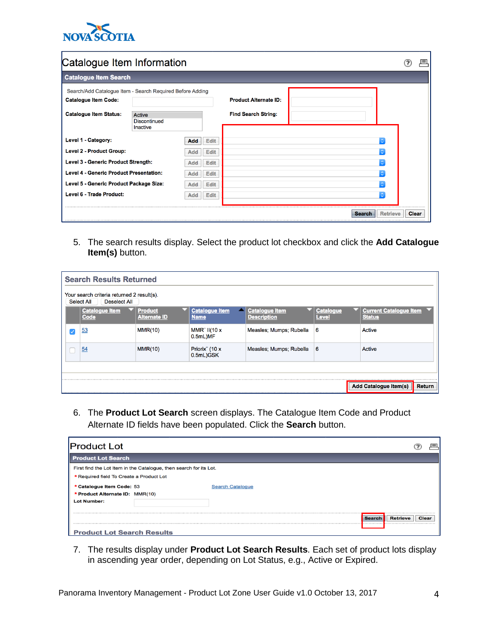

| Catalogue Item Information                                |                                           |                    |                              |               |                 | ⊫     |
|-----------------------------------------------------------|-------------------------------------------|--------------------|------------------------------|---------------|-----------------|-------|
| <b>Catalogue Item Search</b>                              |                                           |                    |                              |               |                 |       |
| Search/Add Catalogue Item - Search Required Before Adding |                                           |                    |                              |               |                 |       |
| <b>Catalogue Item Code:</b>                               |                                           |                    | <b>Product Alternate ID:</b> |               |                 |       |
| <b>Catalogue Item Status:</b>                             | Active<br><b>Discontinued</b><br>Inactive |                    | <b>Find Search String:</b>   |               |                 |       |
| Level 1 - Category:                                       |                                           | Edit<br>Add        |                              |               |                 |       |
| <b>Level 2 - Product Group:</b>                           |                                           | <b>Edit</b><br>Add |                              |               |                 |       |
| Level 3 - Generic Product Strength:                       |                                           | Edit<br>Add        |                              |               |                 |       |
| <b>Level 4 - Generic Product Presentation:</b>            |                                           | Add<br>Edit        |                              |               | ¢               |       |
| Level 5 - Generic Product Package Size:                   |                                           | Add<br><b>Edit</b> |                              |               |                 |       |
| Level 6 - Trade Product:                                  |                                           | <b>Add</b><br>Edit |                              |               | ¢               |       |
|                                                           |                                           |                    |                              | <b>Search</b> | <b>Retrieve</b> | Clear |

5. The search results display. Select the product lot checkbox and click the **Add Catalogue Item(s)** button.

| <b>Search Results Returned</b>                                                  |                                       |                                      |                                             |                                  |                                                |  |
|---------------------------------------------------------------------------------|---------------------------------------|--------------------------------------|---------------------------------------------|----------------------------------|------------------------------------------------|--|
| Your search criteria returned 2 result(s).<br><b>Deselect All</b><br>Select All |                                       |                                      |                                             |                                  |                                                |  |
| <b>Catalogue Item</b><br><b>Code</b>                                            | <b>Product</b><br><b>Alternate ID</b> | <b>Catalogue Item</b><br><b>Name</b> | <b>Catalogue Item</b><br><b>Description</b> | <b>Catalogue</b><br><b>Level</b> | <b>Current Catalogue Item</b><br><b>Status</b> |  |
| 53                                                                              | <b>MMR(10)</b>                        | <b>MMR</b> 11(10 x<br>0.5mL)MF       | Measles; Mumps; Rubella                     | 6                                | Active                                         |  |
| 54                                                                              | MMR(10)                               | Priorix" (10 x<br>0.5mL)GSK          | Measles; Mumps; Rubella                     | - 6                              | Active                                         |  |
|                                                                                 |                                       |                                      |                                             |                                  |                                                |  |
| <b>Add Catalogue Item(s)</b><br><b>Return</b>                                   |                                       |                                      |                                             |                                  |                                                |  |

6. The **Product Lot Search** screen displays. The Catalogue Item Code and Product Alternate ID fields have been populated. Click the **Search** button.

| <b>Product Lot</b>                                           |                                                                                                                |                                  |              |  |  |  |  |  |
|--------------------------------------------------------------|----------------------------------------------------------------------------------------------------------------|----------------------------------|--------------|--|--|--|--|--|
| <b>Product Lot Search</b>                                    |                                                                                                                |                                  |              |  |  |  |  |  |
|                                                              | First find the Lot Item in the Catalogue, then search for its Lot.<br>* Required field To Create a Product Lot |                                  |              |  |  |  |  |  |
| * Catalogue Item Code: 53<br>* Product Alternate ID: MMR(10) |                                                                                                                | <b>Search Catalogue</b>          |              |  |  |  |  |  |
| <b>Lot Number:</b>                                           |                                                                                                                | <b>Retrieve</b><br><b>Search</b> | <b>Clear</b> |  |  |  |  |  |
| <b>Product Lot Search Results</b>                            |                                                                                                                |                                  |              |  |  |  |  |  |

7. The results display under **Product Lot Search Results**. Each set of product lots display in ascending year order, depending on Lot Status, e.g., Active or Expired.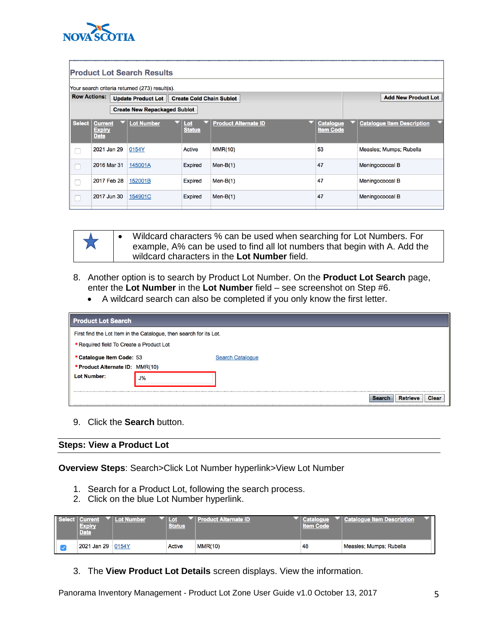

|                     | <b>Product Lot Search Results</b>              |                                               |                             |                             |                                      |                                   |  |  |  |
|---------------------|------------------------------------------------|-----------------------------------------------|-----------------------------|-----------------------------|--------------------------------------|-----------------------------------|--|--|--|
|                     | Your search criteria returned (273) result(s). |                                               |                             |                             |                                      |                                   |  |  |  |
| <b>Row Actions:</b> |                                                | Update Product Lot   Create Cold Chain Sublot |                             |                             |                                      | <b>Add New Product Lot</b>        |  |  |  |
|                     |                                                | <b>Create New Repackaged Sublot</b>           |                             |                             |                                      |                                   |  |  |  |
| Select              | <b>Current</b><br><b>Expiry</b><br><b>Date</b> | <b>Lot Number</b>                             | <u>Lot</u><br><b>Status</b> | <b>Product Alternate ID</b> | <b>Catalogue</b><br><b>Item Code</b> | <b>Catalogue Item Description</b> |  |  |  |
|                     | 2021 Jan 29                                    | 0154Y                                         | Active                      | MMR(10)                     | 53                                   | Measles; Mumps; Rubella           |  |  |  |
|                     | 2016 Mar 31                                    | 145001A                                       | <b>Expired</b>              | Men- $B(1)$                 | 47                                   | Meningococcal B                   |  |  |  |
|                     | 2017 Feb 28                                    | 152001B                                       | <b>Expired</b>              | $Men-B(1)$                  | 47                                   | Meningococcal B                   |  |  |  |
|                     | 2017 Jun 30                                    | 154901C                                       | <b>Expired</b>              | Men- $B(1)$                 | 47                                   | Meningococcal B                   |  |  |  |

- Wildcard characters % can be used when searching for Lot Numbers. For example, A% can be used to find all lot numbers that begin with A. Add the wildcard characters in the **Lot Number** field.
- 8. Another option is to search by Product Lot Number. On the **Product Lot Search** page, enter the **Lot Number** in the **Lot Number** field – see screenshot on Step #6.
	- A wildcard search can also be completed if you only know the first letter.

| <b>Product Lot Search</b>       |                                                                    |                                 |  |  |  |  |
|---------------------------------|--------------------------------------------------------------------|---------------------------------|--|--|--|--|
|                                 | First find the Lot Item in the Catalogue, then search for its Lot. |                                 |  |  |  |  |
|                                 | * Required field To Create a Product Lot                           |                                 |  |  |  |  |
| * Catalogue Item Code: 53       |                                                                    | <b>Search Catalogue</b>         |  |  |  |  |
| * Product Alternate ID: MMR(10) |                                                                    |                                 |  |  |  |  |
| <b>Lot Number:</b>              | $J\%$                                                              |                                 |  |  |  |  |
|                                 |                                                                    |                                 |  |  |  |  |
|                                 |                                                                    | <b>Clear</b><br><b>Retrieve</b> |  |  |  |  |

9. Click the **Search** button.

#### <span id="page-4-0"></span>**Steps: View a Product Lot**

**Overview Steps**: Search>Click Lot Number hyperlink>View Lot Number

- 1. Search for a Product Lot, following the search process.
- 2. Click on the blue Lot Number hyperlink.

|  | Select   Current<br>Expiry<br>Date | Number | Status | <b>roduct Alternate ID</b> | <b>Catalogue</b><br><b>Item Code</b> | <b>Catalogue Item Description</b> |
|--|------------------------------------|--------|--------|----------------------------|--------------------------------------|-----------------------------------|
|  | 2021 Jan 29                        | 0154Y  | Active | MMR(10)                    | 48                                   | Measles; Mumps; Rubella           |

3. The **View Product Lot Details** screen displays. View the information.

Panorama Inventory Management - Product Lot Zone User Guide v1.0 October 13, 2017